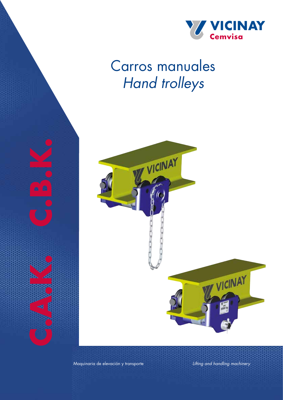

# Carros manuales *Hand trolleys*



Maquinaria de elevación y transporte *Lifting and handling machinery*

C.A.K. C.B.R.

4